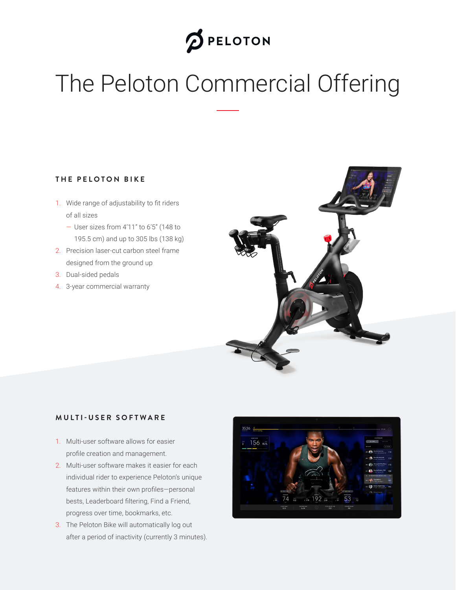# **D** PELOTON

# The Peloton Commercial Offering

#### **THE PELOTON BIKE**

- 1. Wide range of adjustability to fit riders of all sizes
	- User sizes from 4'11" to 6'5" (148 to 195.5 cm) and up to 305 lbs (138 kg)
- 2. Precision laser-cut carbon steel frame designed from the ground up
- 3. Dual-sided pedals
- 4. 3-year commercial warranty



#### **MULTI-USER SOFTWARE**

- 1. Multi-user software allows for easier profile creation and management.
- 2. Multi-user software makes it easier for each individual rider to experience Peloton's unique features within their own profiles—personal bests, Leaderboard filtering, Find a Friend, progress over time, bookmarks, etc.
- 3. The Peloton Bike will automatically log out after a period of inactivity (currently 3 minutes).

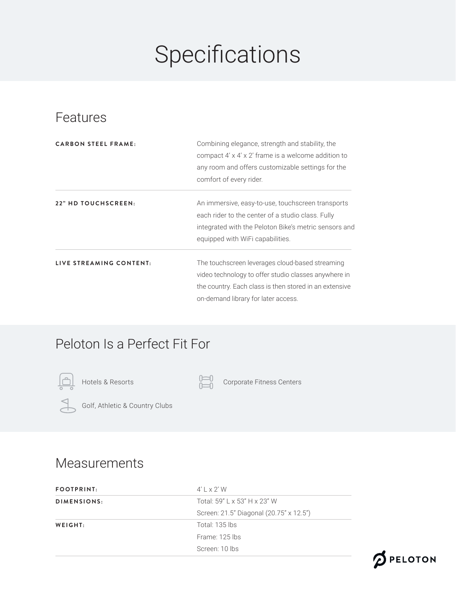# Specifications

### Features

| <b>CARBON STEEL FRAME:</b> | Combining elegance, strength and stability, the<br>compact 4' x 4' x 2' frame is a welcome addition to<br>any room and offers customizable settings for the<br>comfort of every rider.                   |  |
|----------------------------|----------------------------------------------------------------------------------------------------------------------------------------------------------------------------------------------------------|--|
| 22" HD TOUCHSCREEN:        | An immersive, easy-to-use, touchscreen transports<br>each rider to the center of a studio class. Fully<br>integrated with the Peloton Bike's metric sensors and<br>equipped with WiFi capabilities.      |  |
| LIVE STREAMING CONTENT:    | The touchscreen leverages cloud-based streaming<br>video technology to offer studio classes anywhere in<br>the country. Each class is then stored in an extensive<br>on-demand library for later access. |  |

### Peloton Is a Perfect Fit For





Hotels & Resorts Corporate Fitness Centers



Golf, Athletic & Country Clubs

#### Measurements

| <b>FOOTPRINT:</b> | $4'$   $\times$ 2' W                    |
|-------------------|-----------------------------------------|
| DIMENSIONS:       | Total: 59" L x 53" H x 23" W            |
|                   | Screen: 21.5" Diagonal (20.75" x 12.5") |
| WEIGHT:           | Total: 135 lbs                          |
|                   | Frame: 125 lbs                          |
|                   | Screen: 10 lbs                          |
|                   |                                         |

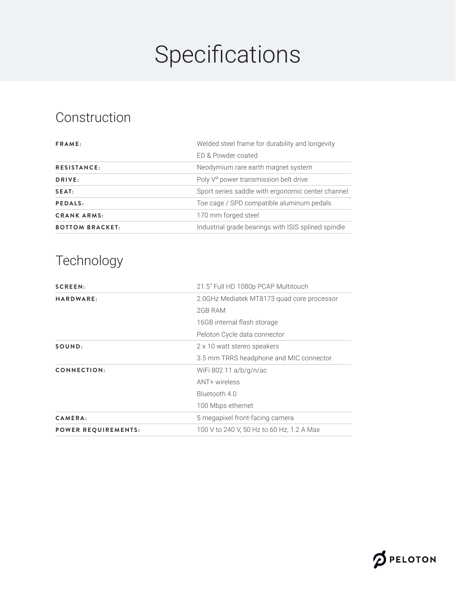# Specifications

### Construction

| FRAME:                 | Welded steel frame for durability and longevity     |  |
|------------------------|-----------------------------------------------------|--|
|                        | ED & Powder coated                                  |  |
| <b>RESISTANCE:</b>     | Neodymium rare earth magnet system                  |  |
| DRIVE:                 | Poly V <sup>®</sup> power transmission belt drive   |  |
| SEAT:                  | Sport series saddle with ergonomic center channel   |  |
| PEDALS:                | Toe cage / SPD compatible aluminum pedals           |  |
| <b>CRANK ARMS:</b>     | 170 mm forged steel                                 |  |
| <b>BOTTOM BRACKET:</b> | Industrial grade bearings with ISIS splined spindle |  |

# Technology

| SCREEN:                    | 21.5" Full HD 1080p PCAP Multitouch        |
|----------------------------|--------------------------------------------|
| HARDWARE:                  | 2.0GHz Mediatek MT8173 quad core processor |
|                            | 2GB RAM                                    |
|                            | 16GB internal flash storage                |
|                            | Peloton Cycle data connector               |
| SOUND:                     | 2 x 10 watt stereo speakers                |
|                            | 3.5 mm TRRS headphone and MIC connector    |
| CONNECTION:                | WiFi 802.11 a/b/g/n/ac                     |
|                            | ANT+ wireless                              |
|                            | Bluetooth 4.0                              |
|                            | 100 Mbps ethernet                          |
| CAMERA:                    | 5 megapixel front-facing camera            |
| <b>POWER REQUIREMENTS:</b> | 100 V to 240 V, 50 Hz to 60 Hz, 1.2 A Max  |

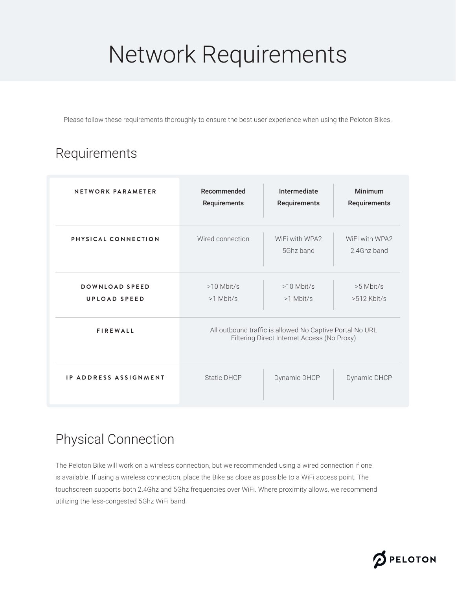# Network Requirements

Please follow these requirements thoroughly to ensure the best user experience when using the Peloton Bikes.

## Requirements

| NETWORK PARAMETER                     | Recommended<br>Requirements                                                                             | Intermediate<br>Requirements | Minimum<br>Requirements       |
|---------------------------------------|---------------------------------------------------------------------------------------------------------|------------------------------|-------------------------------|
| PHYSICAL CONNECTION                   | Wired connection                                                                                        | WiFi with WPA2<br>5Ghz band  | WiFi with WPA2<br>2.4Ghz band |
| DOWNLOAD SPEED<br><b>UPLOAD SPEED</b> | $>10$ Mbit/s<br>$>1$ Mbit/s                                                                             | $>10$ Mbit/s<br>$>1$ Mbit/s  | $>5$ Mbit/s<br>$>512$ Kbit/s  |
| <b>FIREWALL</b>                       | All outbound traffic is allowed No Captive Portal No URL<br>Filtering Direct Internet Access (No Proxy) |                              |                               |
| <b>IP ADDRESS ASSIGNMENT</b>          | Static DHCP                                                                                             | Dynamic DHCP                 | Dynamic DHCP                  |

### Physical Connection

The Peloton Bike will work on a wireless connection, but we recommended using a wired connection if one is available. If using a wireless connection, place the Bike as close as possible to a WiFi access point. The touchscreen supports both 2.4Ghz and 5Ghz frequencies over WiFi. Where proximity allows, we recommend utilizing the less-congested 5Ghz WiFi band.